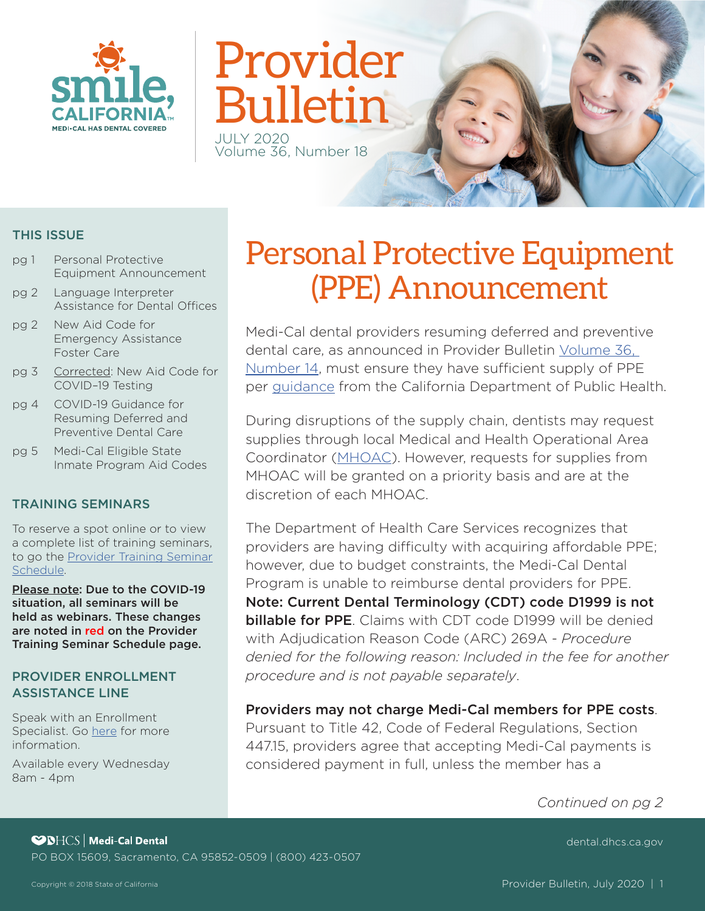

# Provider **Bulletin**

Volume 36, Number 18

#### THIS ISSUE

- pg 1 Personal Protective Equipment Announcement
- pg 2 Language Interpreter Assistance for Dental Offices
- pg 2 New Aid Code for Emergency Assistance Foster Care
- pg 3 Corrected: New Aid Code for COVID–19 Testing
- pg 4 COVID-19 Guidance for Resuming Deferred and Preventive Dental Care
- pg 5 Medi-Cal Eligible State Inmate Program Aid Codes

#### TRAINING SEMINARS

To reserve a spot online or to view a complete list of training seminars, to go the **Provider Training Seminar** [Schedule.](https://dental.dhcs.ca.gov/Dental_Providers/Denti-Cal/Provider_Training/Provider_Training_Seminar_Schedule/)

Please note: Due to the COVID-19 situation, all seminars will be held as webinars. These changes are noted in red on the Provider Training Seminar Schedule page.

#### PROVIDER ENROLLMENT ASSISTANCE LINE

Speak with an Enrollment Specialist. Go [here](https://dental.dhcs.ca.gov/Dental_Providers/Denti-Cal/Provider_Enrollment_Outreach/) for more information.

Available every Wednesday 8am - 4pm

# Personal Protective Equipment (PPE) Announcement

Medi-Cal dental providers resuming deferred and preventive dental care, as announced in Provider Bulletin [Volume 36,](https://dental.dhcs.ca.gov/DC_documents/providers/provider_bulletins/Volume_36_Number_14.pdf)  [Number 14,](https://dental.dhcs.ca.gov/DC_documents/providers/provider_bulletins/Volume_36_Number_14.pdf) must ensure they have sufficient supply of PPE per [guidance](https://www.cdph.ca.gov/Programs/CID/DCDC/Pages/Guidance-for-Resuming-Deferred-and-Preventive-Dental-Care--.aspx) from the California Department of Public Health.

During disruptions of the supply chain, dentists may request supplies through local Medical and Health Operational Area Coordinator ([MHOAC](https://emsa.ca.gov/medical-health-operational-area-coordinator/)). However, requests for supplies from MHOAC will be granted on a priority basis and are at the discretion of each MHOAC.

The Department of Health Care Services recognizes that providers are having difficulty with acquiring affordable PPE; however, due to budget constraints, the Medi-Cal Dental Program is unable to reimburse dental providers for PPE. Note: Current Dental Terminology (CDT) code D1999 is not billable for PPE. Claims with CDT code D1999 will be denied with Adjudication Reason Code (ARC) 269A - *Procedure denied for the following reason: Included in the fee for another procedure and is not payable separately*.

Providers may not charge Medi-Cal members for PPE costs. Pursuant to Title 42, Code of Federal Regulations, Section 447.15, providers agree that accepting Medi-Cal payments is considered payment in full, unless the member has a

*Continued on pg 2* 

**SPICS** Medi-Cal Dental PO BOX 15609, Sacramento, CA 95852-0509 | (800) 423-0507

[dental.dhcs.ca.gov](https://dental.dhcs.ca.gov/)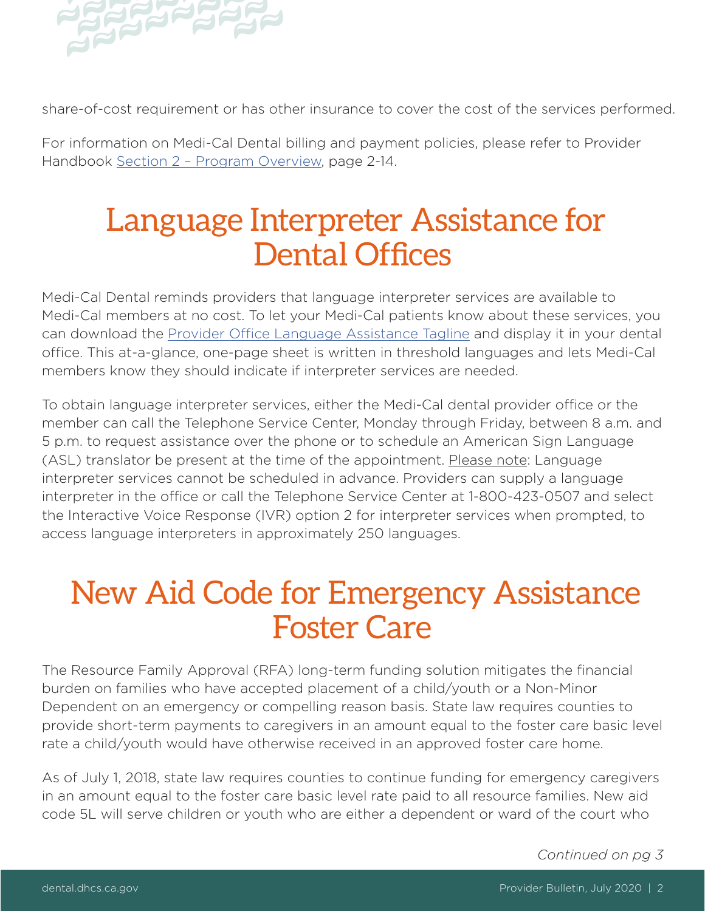

share-of-cost requirement or has other insurance to cover the cost of the services performed.

For information on Medi-Cal Dental billing and payment policies, please refer to Provider Handbook [Section 2 – Program Overview](https://dental.dhcs.ca.gov/DC_documents/providers/provider_handbook/handbook.pdf#page=19), page 2-14.

### Language Interpreter Assistance for Dental Offices

Medi-Cal Dental reminds providers that language interpreter services are available to Medi-Cal members at no cost. To let your Medi-Cal patients know about these services, you can download the Provider Office Language Assistance Tagline and display it in your dental office. This at-a-glance, one-page sheet is written in threshold languages and lets Medi-Cal members know they should indicate if interpreter services are needed.

To obtain language interpreter services, either the Medi-Cal dental provider office or the member can call the Telephone Service Center, Monday through Friday, between 8 a.m. and 5 p.m. to request assistance over the phone or to schedule an American Sign Language (ASL) translator be present at the time of the appointment. Please note: Language interpreter services cannot be scheduled in advance. Providers can supply a language interpreter in the office or call the Telephone Service Center at 1-800-423-0507 and select the Interactive Voice Response (IVR) option 2 for interpreter services when prompted, to access language interpreters in approximately 250 languages.

### New Aid Code for Emergency Assistance Foster Care

The Resource Family Approval (RFA) long-term funding solution mitigates the fnancial burden on families who have accepted placement of a child/youth or a Non-Minor Dependent on an emergency or compelling reason basis. State law requires counties to provide short-term payments to caregivers in an amount equal to the foster care basic level rate a child/youth would have otherwise received in an approved foster care home.

As of July 1, 2018, state law requires counties to continue funding for emergency caregivers in an amount equal to the foster care basic level rate paid to all resource families. New aid code 5L will serve children or youth who are either a dependent or ward of the court who

*Continued on pg 3*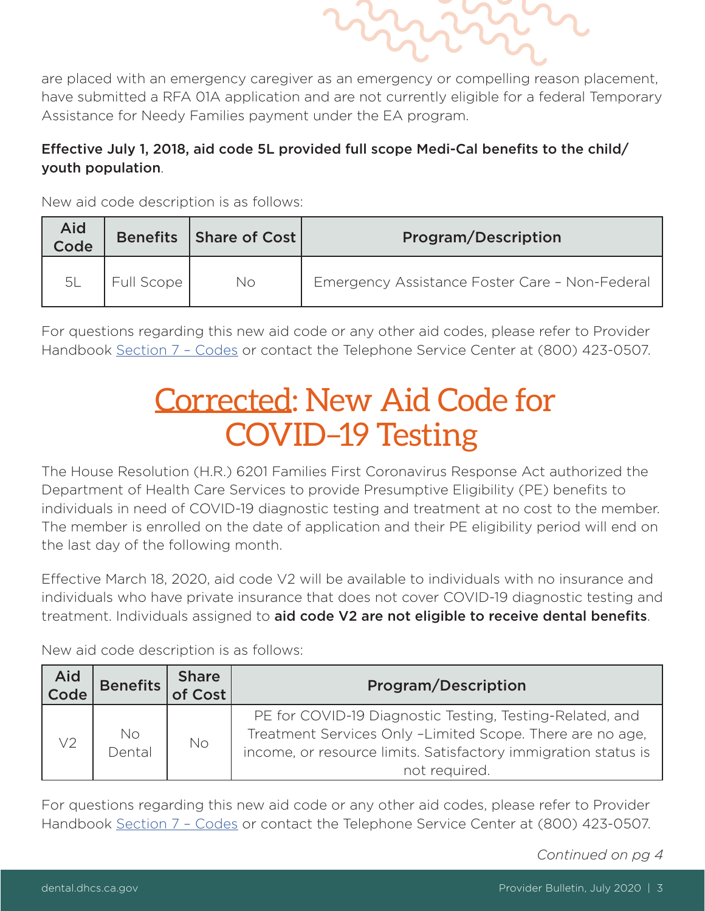are placed with an emergency caregiver as an emergency or compelling reason placement, have submitted a RFA 01A application and are not currently eligible for a federal Temporary Assistance for Needy Families payment under the EA program.

#### Effective July 1, 2018, aid code 5L provided full scope Medi-Cal benefits to the child/ youth population.

New aid code description is as follows:

| Aid<br>Code | <b>Benefits</b> | Share of Cost | <b>Program/Description</b>                     |
|-------------|-----------------|---------------|------------------------------------------------|
| 5L          | Full Scope '    | No            | Emergency Assistance Foster Care - Non-Federal |

For questions regarding this new aid code or any other aid codes, please refer to Provider Handbook [Section 7 – Codes](https://dental.dhcs.ca.gov/DC_documents/providers/provider_handbook/handbook.pdf#page=315) or contact the Telephone Service Center at (800) 423-0507.

### Corrected: New Aid Code for COVID–19 Testing

The House Resolution (H.R.) 6201 Families First Coronavirus Response Act authorized the Department of Health Care Services to provide Presumptive Eligibility (PE) benefits to individuals in need of COVID-19 diagnostic testing and treatment at no cost to the member. The member is enrolled on the date of application and their PE eligibility period will end on the last day of the following month.

Effective March 18, 2020, aid code V2 will be available to individuals with no insurance and individuals who have private insurance that does not cover COVID-19 diagnostic testing and treatment. Individuals assigned to aid code V2 are not eligible to receive dental benefits.

New aid code description is as follows:

| Aid<br>$ $ Code | Benefits     | <b>Share</b><br>of Cost | <b>Program/Description</b>                                                                                                                                                                               |
|-----------------|--------------|-------------------------|----------------------------------------------------------------------------------------------------------------------------------------------------------------------------------------------------------|
| V <sub>2</sub>  | No<br>Dental | No                      | PE for COVID-19 Diagnostic Testing, Testing-Related, and<br>Treatment Services Only -Limited Scope. There are no age,<br>income, or resource limits. Satisfactory immigration status is<br>not required. |

For questions regarding this new aid code or any other aid codes, please refer to Provider Handbook [Section 7 – Codes](https://dental.dhcs.ca.gov/DC_documents/providers/provider_handbook/handbook.pdf#page=315) or contact the Telephone Service Center at (800) 423-0507.

*Continued on pg 4*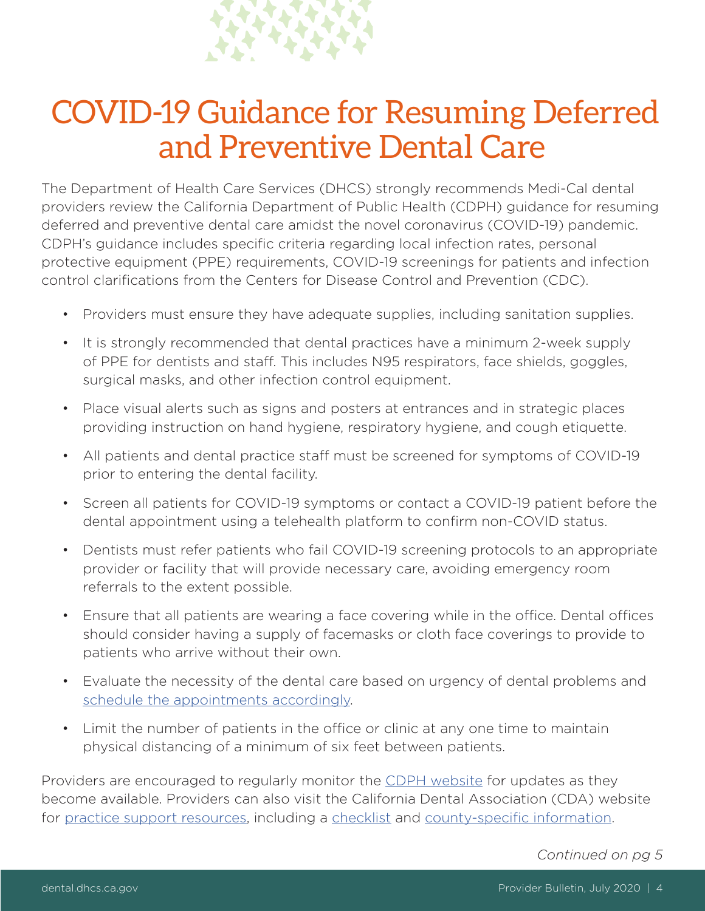

## COVID-19 Guidance for Resuming Deferred and Preventive Dental Care

The Department of Health Care Services (DHCS) strongly recommends Medi-Cal dental providers review the California Department of Public Health (CDPH) guidance for resuming deferred and preventive dental care amidst the novel coronavirus (COVID-19) pandemic. CDPH's guidance includes specific criteria regarding local infection rates, personal protective equipment (PPE) requirements, COVID-19 screenings for patients and infection control clarifcations from the Centers for Disease Control and Prevention (CDC).

- Providers must ensure they have adequate supplies, including sanitation supplies.
- It is strongly recommended that dental practices have a minimum 2-week supply of PPE for dentists and staff. This includes N95 respirators, face shields, goggles, surgical masks, and other infection control equipment.
- Place visual alerts such as signs and posters at entrances and in strategic places providing instruction on hand hygiene, respiratory hygiene, and cough etiquette.
- All patients and dental practice staff must be screened for symptoms of COVID-19 prior to entering the dental facility.
- Screen all patients for COVID-19 symptoms or contact a COVID-19 patient before the dental appointment using a telehealth platform to confirm non-COVID status.
- Dentists must refer patients who fail COVID-19 screening protocols to an appropriate provider or facility that will provide necessary care, avoiding emergency room referrals to the extent possible.
- Ensure that all patients are wearing a face covering while in the office. Dental offices should consider having a supply of facemasks or cloth face coverings to provide to patients who arrive without their own.
- Evaluate the necessity of the dental care based on urgency of dental problems and [schedule the appointments accordingly](https://www.cda.org/Home/Practice/Back-to-Practice/Preparing-your-Practice/scheduling-patients).
- Limit the number of patients in the office or clinic at any one time to maintain physical distancing of a minimum of six feet between patients.

Providers are encouraged to regularly monitor the [CDPH website](https://www.cdph.ca.gov/Programs/CID/DCDC/Pages/Immunization/ncov2019.aspx) for updates as they become available. Providers can also visit the California Dental Association (CDA) website for [practice support resources](https://www.cda.org/Home/Practice/Back-to-Practice/All-Resources), including a [checklist](https://www.cda.org/Portals/0/EasyDNNnews/Uploads/1855/Preparing%20Your%20Practice%20-%20Restarting%20Office%20Equipment%20-%20Opening%20Dental%20Facilities%20Checklist%20final.pdf) and county-specific information.

*Continued on pg 5*